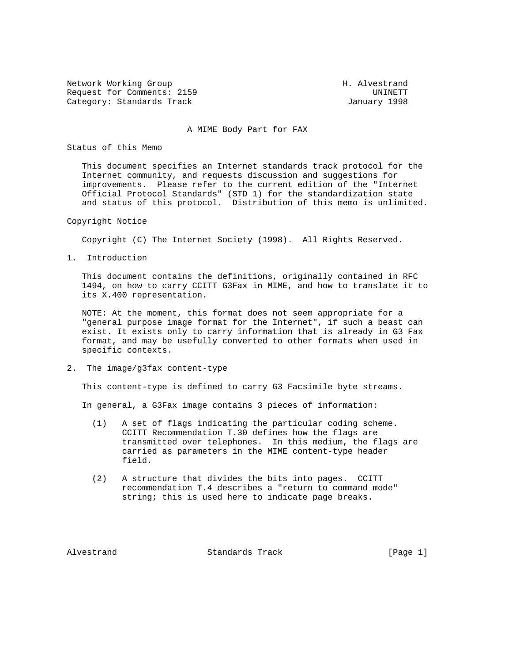Network Working Group Network Morking Group H. Alvestrand Request for Comments: 2159 UNINETT Category: Standards Track January 1998

### A MIME Body Part for FAX

Status of this Memo

 This document specifies an Internet standards track protocol for the Internet community, and requests discussion and suggestions for improvements. Please refer to the current edition of the "Internet Official Protocol Standards" (STD 1) for the standardization state and status of this protocol. Distribution of this memo is unlimited.

Copyright Notice

Copyright (C) The Internet Society (1998). All Rights Reserved.

1. Introduction

 This document contains the definitions, originally contained in RFC 1494, on how to carry CCITT G3Fax in MIME, and how to translate it to its X.400 representation.

 NOTE: At the moment, this format does not seem appropriate for a "general purpose image format for the Internet", if such a beast can exist. It exists only to carry information that is already in G3 Fax format, and may be usefully converted to other formats when used in specific contexts.

2. The image/g3fax content-type

This content-type is defined to carry G3 Facsimile byte streams.

In general, a G3Fax image contains 3 pieces of information:

- (1) A set of flags indicating the particular coding scheme. CCITT Recommendation T.30 defines how the flags are transmitted over telephones. In this medium, the flags are carried as parameters in the MIME content-type header field.
- (2) A structure that divides the bits into pages. CCITT recommendation T.4 describes a "return to command mode" string; this is used here to indicate page breaks.

Alvestrand Standards Track [Page 1]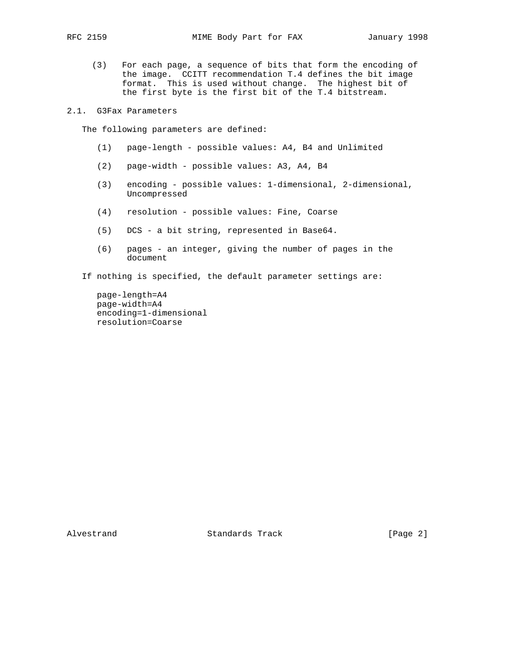(3) For each page, a sequence of bits that form the encoding of the image. CCITT recommendation T.4 defines the bit image format. This is used without change. The highest bit of the first byte is the first bit of the T.4 bitstream.

2.1. G3Fax Parameters

The following parameters are defined:

- (1) page-length possible values: A4, B4 and Unlimited
- (2) page-width possible values: A3, A4, B4
- (3) encoding possible values: 1-dimensional, 2-dimensional, Uncompressed
- (4) resolution possible values: Fine, Coarse
- (5) DCS a bit string, represented in Base64.
- (6) pages an integer, giving the number of pages in the document
- If nothing is specified, the default parameter settings are:

 page-length=A4 page-width=A4 encoding=1-dimensional resolution=Coarse

Alvestrand Standards Track [Page 2]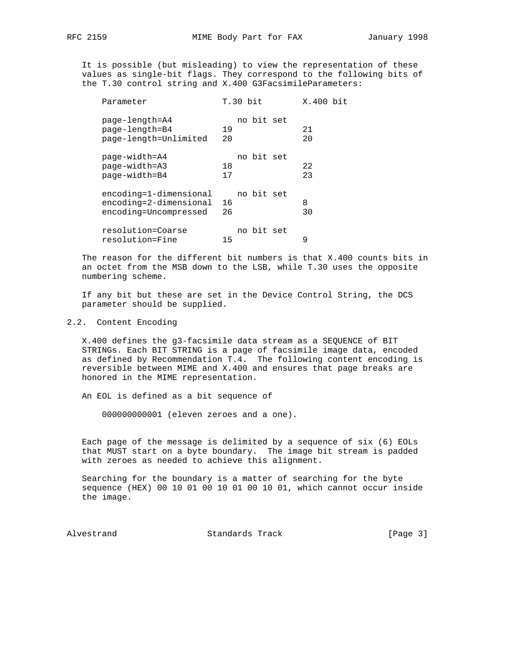It is possible (but misleading) to view the representation of these values as single-bit flags. They correspond to the following bits of the T.30 control string and X.400 G3FacsimileParameters:

| Parameter                                                                 | $T.30$ bit             | X.400 bit |
|---------------------------------------------------------------------------|------------------------|-----------|
| page-length=A4<br>page-length=B4<br>page-length=Unlimited                 | no bit set<br>19<br>20 | 21<br>20  |
| page-width=A4<br>page-width=A3<br>page-width=B4                           | no bit set<br>18<br>17 | 22<br>23  |
| encoding=1-dimensional<br>encoding=2-dimensional<br>encoding=Uncompressed | no bit set<br>16<br>26 | 8<br>30   |
| resolution=Coarse<br>resolution=Fine                                      | no bit set<br>15       | 9         |

 The reason for the different bit numbers is that X.400 counts bits in an octet from the MSB down to the LSB, while T.30 uses the opposite numbering scheme.

 If any bit but these are set in the Device Control String, the DCS parameter should be supplied.

# 2.2. Content Encoding

 X.400 defines the g3-facsimile data stream as a SEQUENCE of BIT STRINGs. Each BIT STRING is a page of facsimile image data, encoded as defined by Recommendation T.4. The following content encoding is reversible between MIME and X.400 and ensures that page breaks are honored in the MIME representation.

An EOL is defined as a bit sequence of

000000000001 (eleven zeroes and a one).

 Each page of the message is delimited by a sequence of six (6) EOLs that MUST start on a byte boundary. The image bit stream is padded with zeroes as needed to achieve this alignment.

 Searching for the boundary is a matter of searching for the byte sequence (HEX) 00 10 01 00 10 01 00 10 01, which cannot occur inside the image.

Alvestrand Standards Track [Page 3]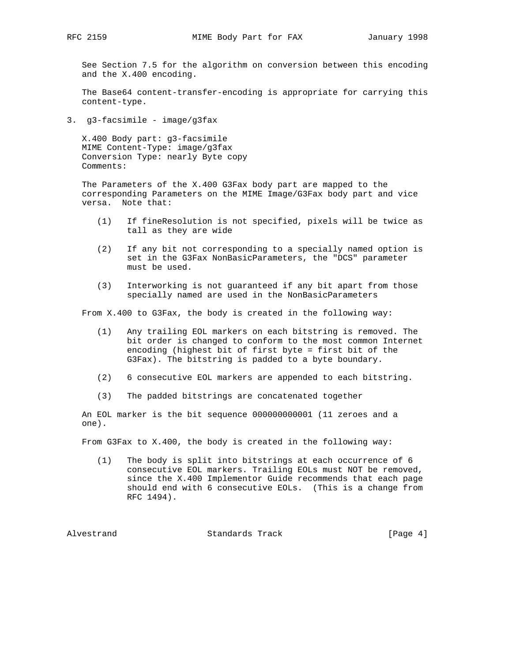See Section 7.5 for the algorithm on conversion between this encoding and the X.400 encoding.

 The Base64 content-transfer-encoding is appropriate for carrying this content-type.

3. g3-facsimile - image/g3fax

 X.400 Body part: g3-facsimile MIME Content-Type: image/g3fax Conversion Type: nearly Byte copy Comments:

 The Parameters of the X.400 G3Fax body part are mapped to the corresponding Parameters on the MIME Image/G3Fax body part and vice versa. Note that:

- (1) If fineResolution is not specified, pixels will be twice as tall as they are wide
- (2) If any bit not corresponding to a specially named option is set in the G3Fax NonBasicParameters, the "DCS" parameter must be used.
- (3) Interworking is not guaranteed if any bit apart from those specially named are used in the NonBasicParameters

From X.400 to G3Fax, the body is created in the following way:

- (1) Any trailing EOL markers on each bitstring is removed. The bit order is changed to conform to the most common Internet encoding (highest bit of first byte = first bit of the G3Fax). The bitstring is padded to a byte boundary.
- (2) 6 consecutive EOL markers are appended to each bitstring.
- (3) The padded bitstrings are concatenated together

 An EOL marker is the bit sequence 000000000001 (11 zeroes and a one).

From G3Fax to X.400, the body is created in the following way:

 (1) The body is split into bitstrings at each occurrence of 6 consecutive EOL markers. Trailing EOLs must NOT be removed, since the X.400 Implementor Guide recommends that each page should end with 6 consecutive EOLs. (This is a change from RFC 1494).

Alvestrand **Standards Track** [Page 4]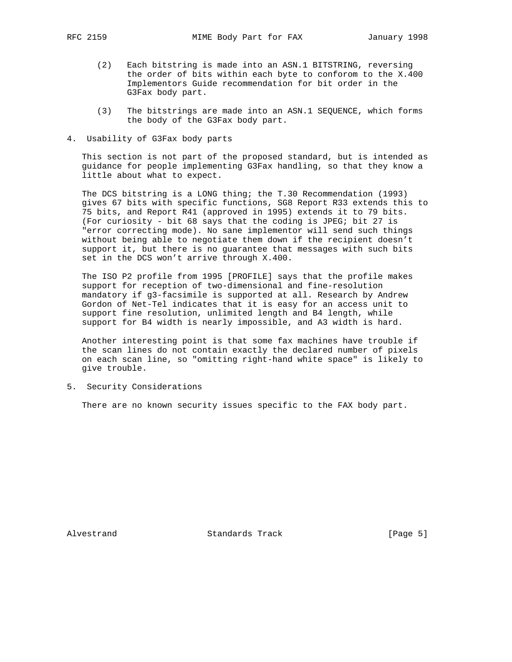- (2) Each bitstring is made into an ASN.1 BITSTRING, reversing the order of bits within each byte to conforom to the X.400 Implementors Guide recommendation for bit order in the G3Fax body part.
- (3) The bitstrings are made into an ASN.1 SEQUENCE, which forms the body of the G3Fax body part.
- 4. Usability of G3Fax body parts

 This section is not part of the proposed standard, but is intended as guidance for people implementing G3Fax handling, so that they know a little about what to expect.

 The DCS bitstring is a LONG thing; the T.30 Recommendation (1993) gives 67 bits with specific functions, SG8 Report R33 extends this to 75 bits, and Report R41 (approved in 1995) extends it to 79 bits. (For curiosity - bit 68 says that the coding is JPEG; bit 27 is "error correcting mode). No sane implementor will send such things without being able to negotiate them down if the recipient doesn't support it, but there is no guarantee that messages with such bits set in the DCS won't arrive through X.400.

 The ISO P2 profile from 1995 [PROFILE] says that the profile makes support for reception of two-dimensional and fine-resolution mandatory if g3-facsimile is supported at all. Research by Andrew Gordon of Net-Tel indicates that it is easy for an access unit to support fine resolution, unlimited length and B4 length, while support for B4 width is nearly impossible, and A3 width is hard.

 Another interesting point is that some fax machines have trouble if the scan lines do not contain exactly the declared number of pixels on each scan line, so "omitting right-hand white space" is likely to give trouble.

5. Security Considerations

There are no known security issues specific to the FAX body part.

Alvestrand Standards Track [Page 5]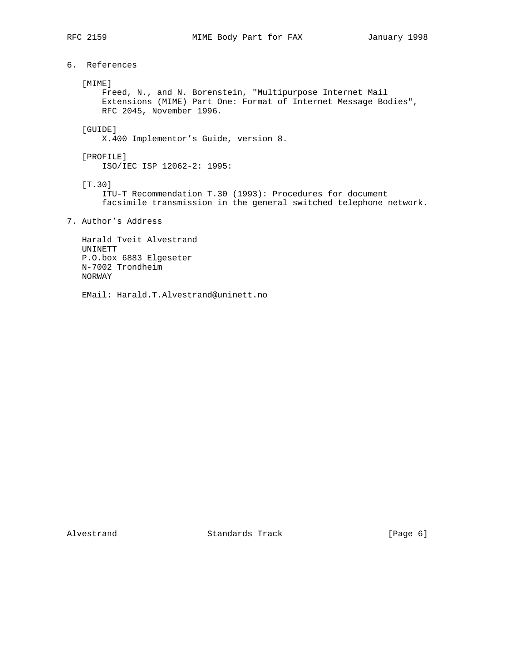6. References

## [MIME]

 Freed, N., and N. Borenstein, "Multipurpose Internet Mail Extensions (MIME) Part One: Format of Internet Message Bodies", RFC 2045, November 1996.

# [GUIDE]

X.400 Implementor's Guide, version 8.

 [PROFILE] ISO/IEC ISP 12062-2: 1995:

[T.30]

 ITU-T Recommendation T.30 (1993): Procedures for document facsimile transmission in the general switched telephone network.

7. Author's Address

 Harald Tveit Alvestrand UNINETT P.O.box 6883 Elgeseter N-7002 Trondheim NORWAY

EMail: Harald.T.Alvestrand@uninett.no

Alvestrand Standards Track [Page 6]